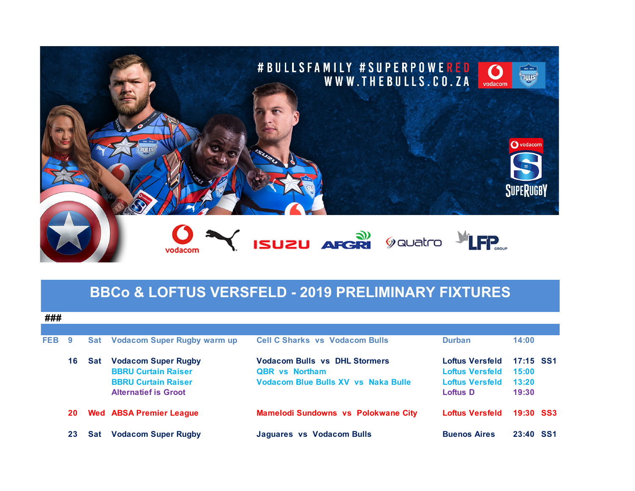

## **BBCo & LOFTUS VERSFELD - 2019 PRELIMINARY FIXTURES**

**###**

| FEB | 9  |     | <b>Sat Vodacom Super Rugby warm up</b>                                                                                | <b>Cell C Sharks vs Vodacom Bulls</b>                                                                | <b>Durban</b>                                                                   | 14:00                                |  |
|-----|----|-----|-----------------------------------------------------------------------------------------------------------------------|------------------------------------------------------------------------------------------------------|---------------------------------------------------------------------------------|--------------------------------------|--|
|     | 16 | Sat | <b>Vodacom Super Rugby</b><br><b>BBRU Curtain Raiser</b><br><b>BBRU Curtain Raiser</b><br><b>Alternatief is Groot</b> | <b>Vodacom Bulls vs DHL Stormers</b><br><b>QBR</b> vs Northam<br>Vodacom Blue Bulls XV vs Naka Bulle | Loftus Versfeld<br><b>Loftus Versfeld</b><br><b>Loftus Versfeld</b><br>Loftus D | 17:15 SS1<br>15:00<br>13:20<br>19:30 |  |
|     | 20 |     | <b>Wed ABSA Premier League</b>                                                                                        | <b>Mamelodi Sundowns vs Polokwane City</b>                                                           | <b>Loftus Versfeld</b>                                                          | <b>19:30 SS3</b>                     |  |
|     | 23 | Sat | <b>Vodacom Super Rugby</b>                                                                                            | Jaguares vs Vodacom Bulls                                                                            | <b>Buenos Aires</b>                                                             | 23:40 SS1                            |  |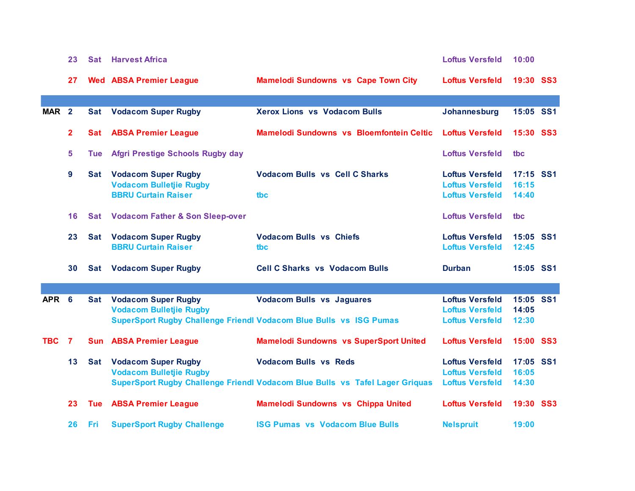|                  | 23           | <b>Sat</b> | <b>Harvest Africa</b>                                                                          |                                                                                                              | <b>Loftus Versfeld</b>                                                     | 10:00                       |  |
|------------------|--------------|------------|------------------------------------------------------------------------------------------------|--------------------------------------------------------------------------------------------------------------|----------------------------------------------------------------------------|-----------------------------|--|
|                  | 27           |            | <b>Wed ABSA Premier League</b>                                                                 | <b>Mamelodi Sundowns vs Cape Town City</b>                                                                   | <b>Loftus Versfeld</b>                                                     | <b>19:30 SS3</b>            |  |
| MAR <sub>2</sub> |              |            | <b>Sat Vodacom Super Rugby</b>                                                                 | <b>Xerox Lions vs Vodacom Bulls</b>                                                                          | Johannesburg                                                               | 15:05 SS1                   |  |
|                  | $\mathbf{2}$ | Sat        | <b>ABSA Premier League</b>                                                                     | Mamelodi Sundowns vs Bloemfontein Celtic                                                                     | <b>Loftus Versfeld</b>                                                     | <b>15:30 SS3</b>            |  |
|                  | 5            | Tue        | <b>Afgri Prestige Schools Rugby day</b>                                                        |                                                                                                              | <b>Loftus Versfeld</b>                                                     | tbc                         |  |
|                  | 9            |            | <b>Sat Vodacom Super Rugby</b><br><b>Vodacom Bulletjie Rugby</b><br><b>BBRU Curtain Raiser</b> | <b>Vodacom Bulls vs Cell C Sharks</b><br>tbc                                                                 | <b>Loftus Versfeld</b><br><b>Loftus Versfeld</b><br><b>Loftus Versfeld</b> | 17:15 SS1<br>16:15<br>14:40 |  |
|                  | 16           |            | <b>Sat Vodacom Father &amp; Son Sleep-over</b>                                                 |                                                                                                              | <b>Loftus Versfeld</b>                                                     | tbc                         |  |
|                  | 23           | <b>Sat</b> | <b>Vodacom Super Rugby</b><br><b>BBRU Curtain Raiser</b>                                       | <b>Vodacom Bulls vs Chiefs</b><br>tbc                                                                        | <b>Loftus Versfeld</b><br><b>Loftus Versfeld</b>                           | 15:05 SS1<br>12:45          |  |
|                  | 30           | Sat        | <b>Vodacom Super Rugby</b>                                                                     | <b>Cell C Sharks vs Vodacom Bulls</b>                                                                        | <b>Durban</b>                                                              | 15:05 SS1                   |  |
|                  |              |            |                                                                                                |                                                                                                              |                                                                            |                             |  |
| APR <sub>6</sub> |              | <b>Sat</b> | <b>Vodacom Super Rugby</b><br><b>Vodacom Bulletjie Rugby</b>                                   | <b>Vodacom Bulls vs Jaguares</b><br>SuperSport Rugby Challenge Friendl Vodacom Blue Bulls vs ISG Pumas       | <b>Loftus Versfeld</b><br><b>Loftus Versfeld</b><br><b>Loftus Versfeld</b> | 15:05 SS1<br>14:05<br>12:30 |  |
| <b>TBC</b>       | 7            |            | <b>Sun ABSA Premier League</b>                                                                 | <b>Mamelodi Sundowns vs SuperSport United</b>                                                                | <b>Loftus Versfeld</b>                                                     | 15:00 SS3                   |  |
|                  | 13           | <b>Sat</b> | <b>Vodacom Super Rugby</b><br><b>Vodacom Bulletjie Rugby</b>                                   | <b>Vodacom Bulls vs Reds</b><br>SuperSport Rugby Challenge Friendl Vodacom Blue Bulls vs Tafel Lager Griquas | <b>Loftus Versfeld</b><br><b>Loftus Versfeld</b><br><b>Loftus Versfeld</b> | 17:05 SS1<br>16:05<br>14:30 |  |
|                  | 23           | <b>Tue</b> | <b>ABSA Premier League</b>                                                                     | Mamelodi Sundowns vs Chippa United                                                                           | <b>Loftus Versfeld</b>                                                     | 19:30 SS3                   |  |
|                  | 26           | Fri        | <b>SuperSport Rugby Challenge</b>                                                              | <b>ISG Pumas vs Vodacom Blue Bulls</b>                                                                       | <b>Nelspruit</b>                                                           | 19:00                       |  |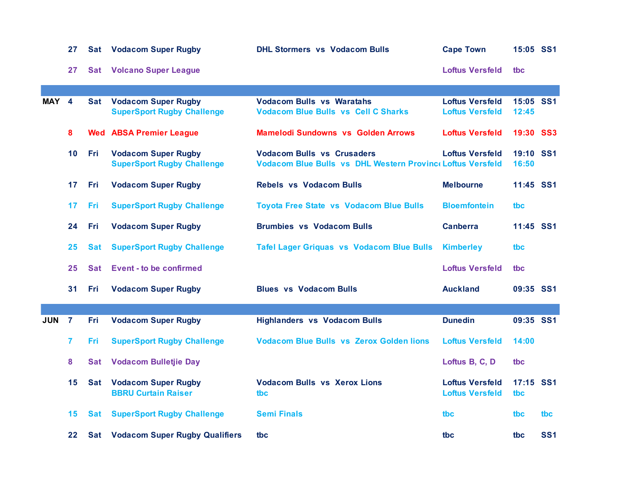|            | 27             |            | <b>Sat Vodacom Super Rugby</b>                                  | <b>DHL Stormers vs Vodacom Bulls</b>                                                           | <b>Cape Town</b>                                 | 15:05 SS1          |                 |
|------------|----------------|------------|-----------------------------------------------------------------|------------------------------------------------------------------------------------------------|--------------------------------------------------|--------------------|-----------------|
|            | 27             |            | <b>Sat Volcano Super League</b>                                 |                                                                                                | <b>Loftus Versfeld</b>                           | tbc                |                 |
|            |                |            |                                                                 |                                                                                                |                                                  |                    |                 |
| MAY 4      |                | <b>Sat</b> | <b>Vodacom Super Rugby</b><br><b>SuperSport Rugby Challenge</b> | <b>Vodacom Bulls vs Waratahs</b><br><b>Vodacom Blue Bulls vs Cell C Sharks</b>                 | <b>Loftus Versfeld</b><br><b>Loftus Versfeld</b> | 15:05 SS1<br>12:45 |                 |
|            | 8              |            | <b>Wed ABSA Premier League</b>                                  | <b>Mamelodi Sundowns vs Golden Arrows</b>                                                      | <b>Loftus Versfeld</b>                           | 19:30              | SS <sub>3</sub> |
|            | 10             | Fri        | <b>Vodacom Super Rugby</b><br><b>SuperSport Rugby Challenge</b> | <b>Vodacom Bulls vs Crusaders</b><br>Vodacom Blue Bulls vs DHL Western Provinc Loftus Versfeld | <b>Loftus Versfeld</b>                           | 19:10 SS1<br>16:50 |                 |
|            | 17             | Fri        | <b>Vodacom Super Rugby</b>                                      | <b>Rebels vs Vodacom Bulls</b>                                                                 | <b>Melbourne</b>                                 | 11:45 SS1          |                 |
|            | 17             | Fri        | <b>SuperSport Rugby Challenge</b>                               | <b>Toyota Free State vs Vodacom Blue Bulls</b>                                                 | <b>Bloemfontein</b>                              | tbc                |                 |
|            | 24             | Fri        | <b>Vodacom Super Rugby</b>                                      | <b>Brumbies vs Vodacom Bulls</b>                                                               | <b>Canberra</b>                                  | 11:45 SS1          |                 |
|            | 25             | <b>Sat</b> | <b>SuperSport Rugby Challenge</b>                               | <b>Tafel Lager Griquas vs Vodacom Blue Bulls</b>                                               | <b>Kimberley</b>                                 | tbc                |                 |
|            | 25             | <b>Sat</b> | <b>Event - to be confirmed</b>                                  |                                                                                                | <b>Loftus Versfeld</b>                           | tbc                |                 |
|            | 31             | Fri        | <b>Vodacom Super Rugby</b>                                      | <b>Blues vs Vodacom Bulls</b>                                                                  | <b>Auckland</b>                                  | 09:35 SS1          |                 |
|            |                |            |                                                                 |                                                                                                |                                                  |                    |                 |
| <b>JUN</b> | $\overline{7}$ | Fri        | <b>Vodacom Super Rugby</b>                                      | <b>Highlanders vs Vodacom Bulls</b>                                                            | <b>Dunedin</b>                                   | 09:35 SS1          |                 |
|            | 7              | Fri        | <b>SuperSport Rugby Challenge</b>                               | <b>Vodacom Blue Bulls vs Zerox Golden lions</b>                                                | <b>Loftus Versfeld</b>                           | 14:00              |                 |
|            | 8              | Sat        | <b>Vodacom Bulletjie Day</b>                                    |                                                                                                | Loftus B, C, D                                   | tbc                |                 |
|            | 15             | <b>Sat</b> | <b>Vodacom Super Rugby</b><br><b>BBRU Curtain Raiser</b>        | <b>Vodacom Bulls vs Xerox Lions</b><br>tbc                                                     | <b>Loftus Versfeld</b><br><b>Loftus Versfeld</b> | 17:15 SS1<br>tbc   |                 |
|            | 15.            | Sat        | <b>SuperSport Rugby Challenge</b>                               | <b>Semi Finals</b>                                                                             | tbc.                                             | tbc                | tbc             |
|            | 22             |            | <b>Sat Vodacom Super Rugby Qualifiers</b>                       | tbc                                                                                            | tbc.                                             | tbc                | <b>SS1</b>      |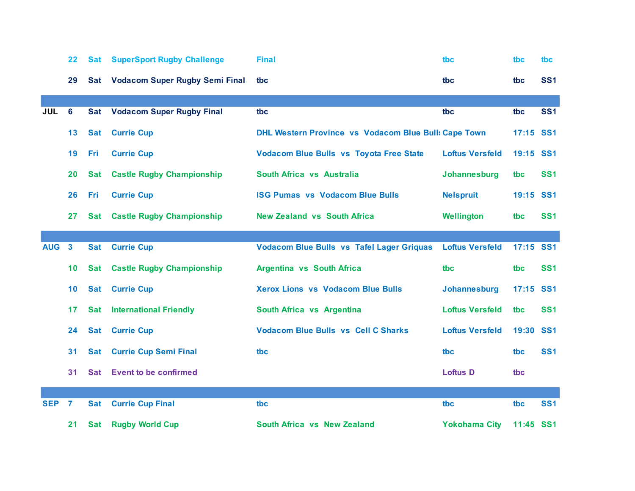|            | 22              | <b>Sat</b> | <b>SuperSport Rugby Challenge</b>     | <b>Final</b>                                                | tbc                    | tbc       | tbc             |
|------------|-----------------|------------|---------------------------------------|-------------------------------------------------------------|------------------------|-----------|-----------------|
|            | 29              | Sat        | <b>Vodacom Super Rugby Semi Final</b> | tbc                                                         | tbc                    | tbc       | <b>SS1</b>      |
|            |                 |            |                                       |                                                             |                        |           |                 |
| <b>JUL</b> | $6\phantom{1}6$ | <b>Sat</b> | <b>Vodacom Super Rugby Final</b>      | tbc                                                         | tbc                    | tbc       | <b>SS1</b>      |
|            | 13              | <b>Sat</b> | <b>Currie Cup</b>                     | <b>DHL Western Province vs Vodacom Blue Bull: Cape Town</b> |                        | 17:15     | <b>SS1</b>      |
|            | 19              | <b>Fri</b> | <b>Currie Cup</b>                     | <b>Vodacom Blue Bulls vs Toyota Free State</b>              | <b>Loftus Versfeld</b> | 19:15     | SS <sub>1</sub> |
|            | 20              | <b>Sat</b> | <b>Castle Rugby Championship</b>      | South Africa vs Australia                                   | Johannesburg           | tbc       | <b>SS1</b>      |
|            | 26              | Fri        | <b>Currie Cup</b>                     | <b>ISG Pumas vs Vodacom Blue Bulls</b>                      | <b>Nelspruit</b>       | 19:15 SS1 |                 |
|            | 27              | <b>Sat</b> | <b>Castle Rugby Championship</b>      | <b>New Zealand vs South Africa</b>                          | Wellington             | tbc       | <b>SS1</b>      |
|            |                 |            |                                       |                                                             |                        |           |                 |
| <b>AUG</b> | $\mathbf{3}$    | <b>Sat</b> | <b>Currie Cup</b>                     | <b>Vodacom Blue Bulls vs Tafel Lager Griquas</b>            | <b>Loftus Versfeld</b> | 17:15 SS1 |                 |
|            | 10              | <b>Sat</b> | <b>Castle Rugby Championship</b>      | <b>Argentina vs South Africa</b>                            | tbc                    | tbc       | <b>SS1</b>      |
|            | 10              | <b>Sat</b> | <b>Currie Cup</b>                     | <b>Xerox Lions vs Vodacom Blue Bulls</b>                    | Johannesburg           | 17:15     | <b>SS1</b>      |
|            | 17              | Sat        | <b>International Friendly</b>         | South Africa vs Argentina                                   | <b>Loftus Versfeld</b> | tbc       | SS <sub>1</sub> |
|            | 24              | <b>Sat</b> | <b>Currie Cup</b>                     | <b>Vodacom Blue Bulls vs Cell C Sharks</b>                  | <b>Loftus Versfeld</b> | 19:30     | SS <sub>1</sub> |
|            | 31              | <b>Sat</b> | <b>Currie Cup Semi Final</b>          | tbc                                                         | tbc                    | tbc       | <b>SS1</b>      |
|            | 31              | Sat        | <b>Event to be confirmed</b>          |                                                             | <b>Loftus D</b>        | tbc       |                 |
|            |                 |            |                                       |                                                             |                        |           |                 |
| <b>SEP</b> | $\overline{7}$  | <b>Sat</b> | <b>Currie Cup Final</b>               | tbc                                                         | tbc                    | tbc       | <b>SS1</b>      |
|            | 21              | <b>Sat</b> | <b>Rugby World Cup</b>                | South Africa vs New Zealand                                 | <b>Yokohama City</b>   | 11:45 SS1 |                 |